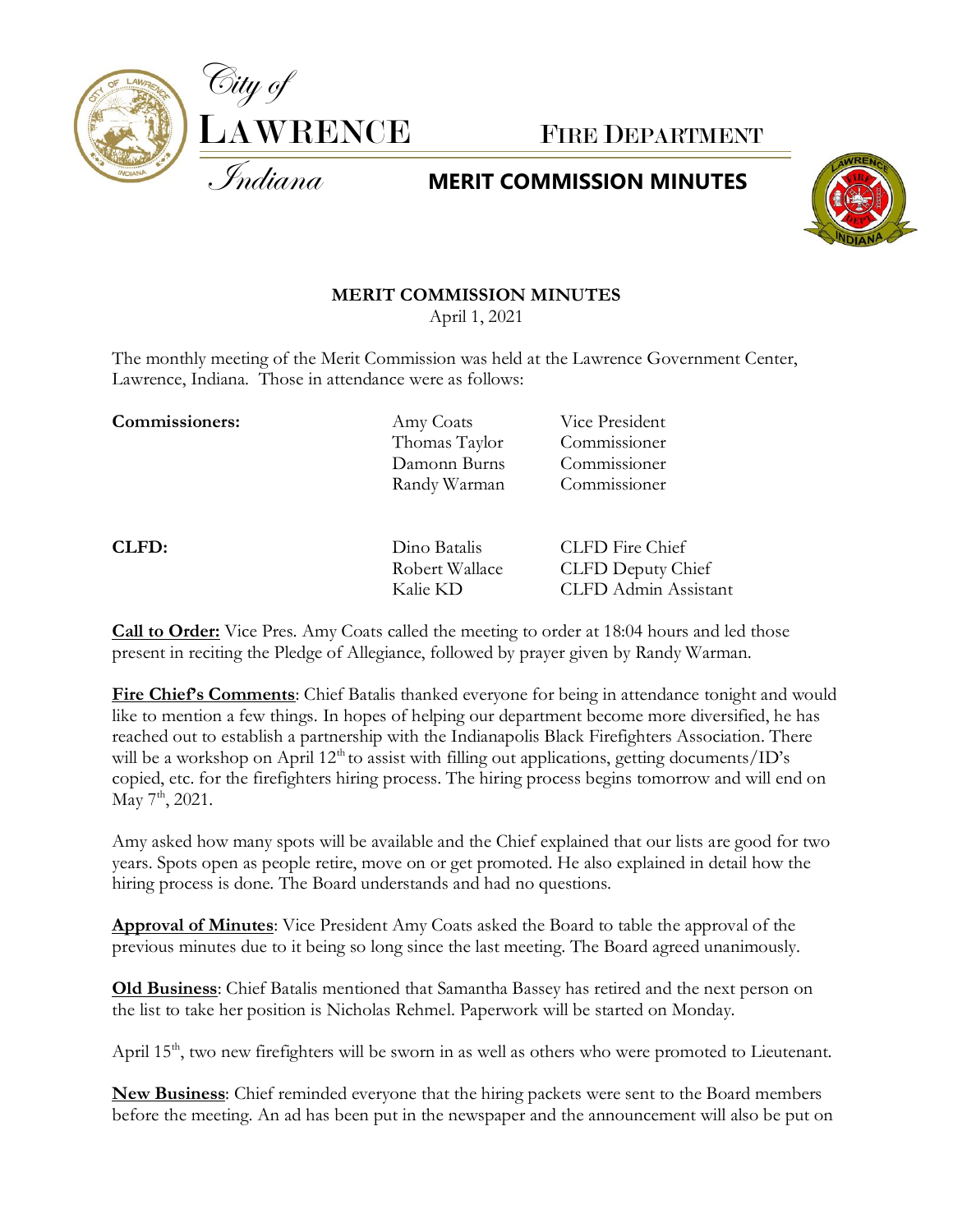

## **MERIT COMMISSION MINUTES**



## **MERIT COMMISSION MINUTES**

April 1, 2021

The monthly meeting of the Merit Commission was held at the Lawrence Government Center, Lawrence, Indiana. Those in attendance were as follows:

**Commissioners:** Amy Coats Vice President

Thomas Taylor Commissioner Damonn Burns Commissioner Randy Warman Commissioner

**CLFD:** Dino Batalis CLFD Fire Chief Robert Wallace CLFD Deputy Chief Kalie KD CLFD Admin Assistant

**Call to Order:** Vice Pres. Amy Coats called the meeting to order at 18:04 hours and led those present in reciting the Pledge of Allegiance, followed by prayer given by Randy Warman.

**Fire Chief's Comments**: Chief Batalis thanked everyone for being in attendance tonight and would like to mention a few things. In hopes of helping our department become more diversified, he has reached out to establish a partnership with the Indianapolis Black Firefighters Association. There will be a workshop on April  $12<sup>th</sup>$  to assist with filling out applications, getting documents/ID's copied, etc. for the firefighters hiring process. The hiring process begins tomorrow and will end on May 7<sup>th</sup>, 2021.

Amy asked how many spots will be available and the Chief explained that our lists are good for two years. Spots open as people retire, move on or get promoted. He also explained in detail how the hiring process is done. The Board understands and had no questions.

**Approval of Minutes**: Vice President Amy Coats asked the Board to table the approval of the previous minutes due to it being so long since the last meeting. The Board agreed unanimously.

**Old Business**: Chief Batalis mentioned that Samantha Bassey has retired and the next person on the list to take her position is Nicholas Rehmel. Paperwork will be started on Monday.

April 15<sup>th</sup>, two new firefighters will be sworn in as well as others who were promoted to Lieutenant.

**New Business**: Chief reminded everyone that the hiring packets were sent to the Board members before the meeting. An ad has been put in the newspaper and the announcement will also be put on